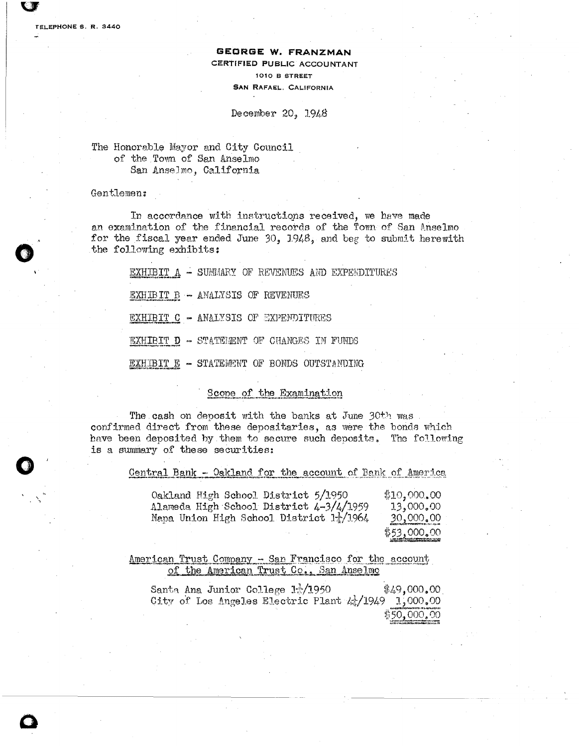#### **GEORGE W. FRANZMAN**

CERTIFIED PUBLIC ACCOUNTANT

1010 B STREET **SAN RAFAEL. CALIFORNIA** 

December 20, 1948

The Honorable Mayor and City Council of the Town of San Anselmo San Anselmo, California

Gentlemen:

In accordance with instructions received, we have made an examination of the financial records of the Town of San Anselmo for the fiscal year ended June 30, 1948, and beg to submit herewith the following exhibits:

> EXHIBIT A - SUMMARY OF REVENUES AND EXPENDITURES EXHIBIT B - ANALYSIS OF REVENUES **EXHIBIT C - ANALYSIS OF EXPENDITURES** EXHIBIT D - STATELENT OF CHANGES IN FUNDS EXHIBIT E - STATEMENT OF BONDS OUTSTANDING

#### Scope of the Examination

The cash on deposit with the banks at June 30th was. confirmed direct from these depositaries, as were the bonds which have been deposited by them to secure such deposits. The following is a summary of these securities:

Central Bank - Oakland for the account of Bank of America

| Oakland High School District 5/1950                                                             | \$10,000.00            |
|-------------------------------------------------------------------------------------------------|------------------------|
| Alameda High School District 4-3/4/1959<br>Napa Union High School District 1 <sup>1</sup> /1964 | 13,000,00<br>30,000,00 |
|                                                                                                 | \$53,000,00            |

#### American Trust Company - San Francisco for the account of the American Trust Co., San Anselmo

Santa Ana Junior College  $1/1950$ \$49,000,00 City of Los Angeles Electric Plant  $\frac{11}{4}/1949$  1,000.00 \$50,000,00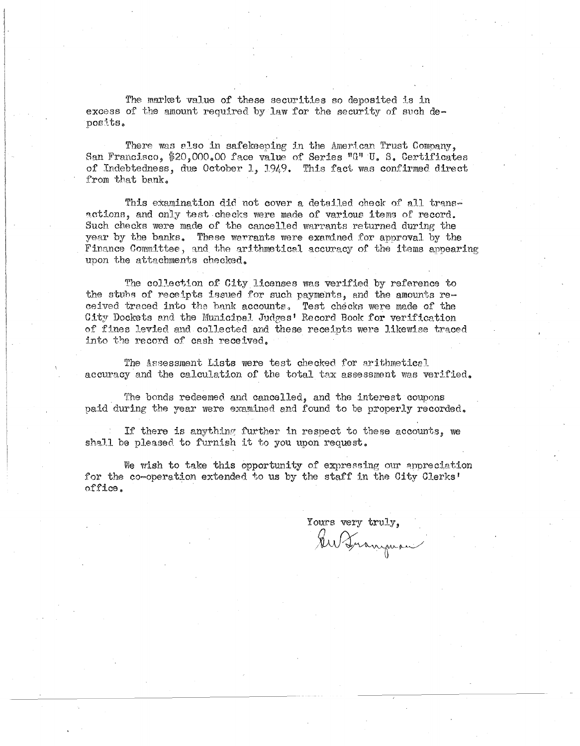The market value of these securities so deposited is in excess of the amount required by law for the security of such deposits.

There was also in safekeeping in the American Trust Company, San Francisco, \$20,000.00 face value of Series "G" U. S. Certificates of Indebtedness, due October 1, 1949. This fact was confirmed direct from that bank.

This examination did not cover a detailed check of all transactions, and only test checks were made of various items of record. Such checks were made of the cancelled warrants returned during the year by the banks. These warrants were examined for approval by the Finance Committee, and the arithmetical accuracy of the items appearing upon the attachments checked.

The collection of City licenses was verified by reference to the stubs of receipts issued for such payments, and the amounts received traced into the bank accounts. Test checks were made of the City Dockets and the Municipal Judges' Record Book for verification of fines levied and collected and these receipts were likewise traced into the record of cash received.

The Assessment Lists were test checked for arithmetical accuracy and the calculation of the total tax assessment was verified.

The bonds redeemed and cancelled, and the interest coupons paid during the year were examined and found to be properly recorded.

If there is anything further in respect to these accounts, we shall be pleased to furnish it to you upon request.

We wish to take this opportunity of expressing our appreciation for the co-operation extended to us by the staff in the City Clerks' office.

Yours very truly,<br>Authranguan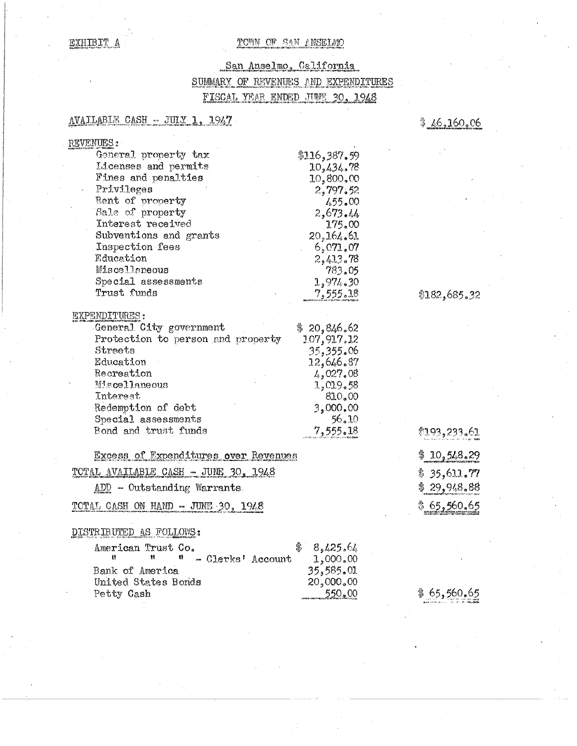EXHIBIT A

#### TOWN OF SAN ANSELMO

# San Anselmo, California SUMMARY OF REVENUES AND EXPENDITURES FISCAL YEAR ENDED JUNE 30, 1948

### AVAILABLE CASH - JULY 1, 1947

Petty Cash

### $$46,160,06$

| REVENUES:                            |               |                 |
|--------------------------------------|---------------|-----------------|
| General property tax                 | \$116,387,59  |                 |
| Licenses and permits                 | 10,434.78     |                 |
| Fines and penalties                  | 10,800,00     |                 |
| Privileges                           | 2,797.52      |                 |
| Rent of property                     | 455.00        |                 |
| Sale of property                     | 2,673,44      |                 |
| Interest received                    | 175.00        |                 |
| Subventions and grants               | 20,164,61     |                 |
| Inspection fees                      | 6,071,07      |                 |
| Education                            | 2,413.78      |                 |
| Miscellaneous                        | 783.05        |                 |
| Special assessments                  | 1,974.30      |                 |
| Trust funds                          | 7,555.18      | \$182,685.32    |
|                                      |               |                 |
| EXPENDITURES:                        |               |                 |
| General City government              | \$20,846.62   |                 |
| Protection to person and property    | 107,917,12    |                 |
| Streets                              | 35,355.06     |                 |
| Education                            | 12,646.87     |                 |
| Recreation                           | 4,027,08      |                 |
| Miscellaneous                        | 1,019.58      |                 |
| Interest                             | 810.00        |                 |
| Redemption of debt                   | 3,000.00      |                 |
| Special assessments                  | 56.10         |                 |
| Bond and trust funds                 | 7,555.18      | $*193, 233, 61$ |
|                                      |               |                 |
| Excess of Expenditures over Revenues |               | \$10,548.29     |
| TOTAL AVAILABLE CASH - JUNE 30, 1948 |               | \$35,611.77     |
|                                      |               |                 |
| ADD - Outstanding Warrants.          |               | \$29,948.88     |
| TOTAL CASH ON HAND -- JUNE 30, 1948  |               | \$65,560.65     |
|                                      |               |                 |
| DISTRIBUTED AS FOLLOWS:              |               |                 |
| American Trust Co.                   | 8,425.64<br>∯ |                 |
| Ħ<br>- Clerks' Account               | 1,000.00      |                 |
| Bank of America                      | 35,585.01     |                 |
| United States Bonds                  | 20,000.00     |                 |
|                                      |               |                 |

 $$65,560.65$ 

550.00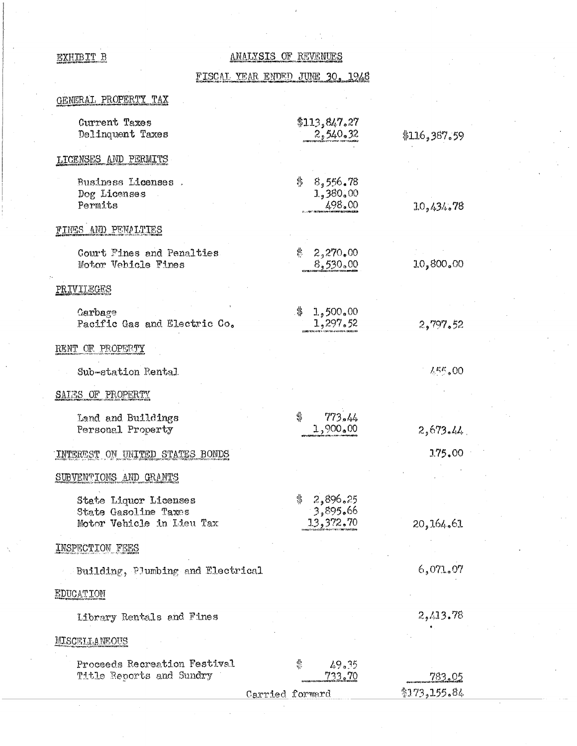### EXHIBIT B

### **ANALYSIS OF REVENUES**

FISCAL YEAR ENDED JUNE 30, 1948

| GENERAL PROPERTY TAX                                                       |                                                |                               |
|----------------------------------------------------------------------------|------------------------------------------------|-------------------------------|
| Current Taxes<br>Delinquent Taxes                                          | \$113,847.27<br>2,540,32                       | \$116, 387.59                 |
| LICENSES AND PERMITS                                                       |                                                |                               |
| <b>Business Licenses.</b><br>Dog Licenses<br>Permits                       | \$<br>8,556,78<br>1,380.00<br>498.00           | 10,434.78                     |
| FINES AND PENALTIES                                                        |                                                |                               |
| Court Fines and Penalties<br>Motor Vehicle Fines                           | 麋<br>2,270,00<br>8,530.00                      | 10,800.00                     |
| PRIVILEGES                                                                 |                                                |                               |
| Garbage<br>Pacific Gas and Electric Co.                                    | \$<br>1,500,00<br>1,297.52                     | 2,797.52                      |
| RENT OF PROPERTY                                                           |                                                |                               |
| Sub-station Rental                                                         |                                                | 455,00                        |
| SAIES OF PROPERTY                                                          |                                                |                               |
| Land and Buildings<br>Personal Property                                    | \$<br>773.44<br>1,900,00                       | 2,673.44                      |
| INTEREST ON UNITED STATES BONDS                                            |                                                | 1.75,00                       |
| SUBVENTIONS AND GRANTS                                                     |                                                |                               |
| State Liquor Licenses<br>State Gasoline Taxes<br>Motor Vehicle in Lieu Tax | \$<br>2,896.25<br>3,895.66<br>13,372.70        | 20,164,61                     |
| <b>INSPECTION FEES</b>                                                     |                                                |                               |
| Building, Plumbing and Electrical                                          |                                                | 6,071,07                      |
| EDUCATION                                                                  |                                                |                               |
| Library Rentals and Fines                                                  |                                                | 2,413.78                      |
| MISCELLANEOUS                                                              |                                                |                               |
| Proceeds Recreation Festival<br>Title Reports and Sundry                   | ¢<br>49.35<br><u>733.70</u><br>Carried forward | <u>783.05</u><br>\$173,155.84 |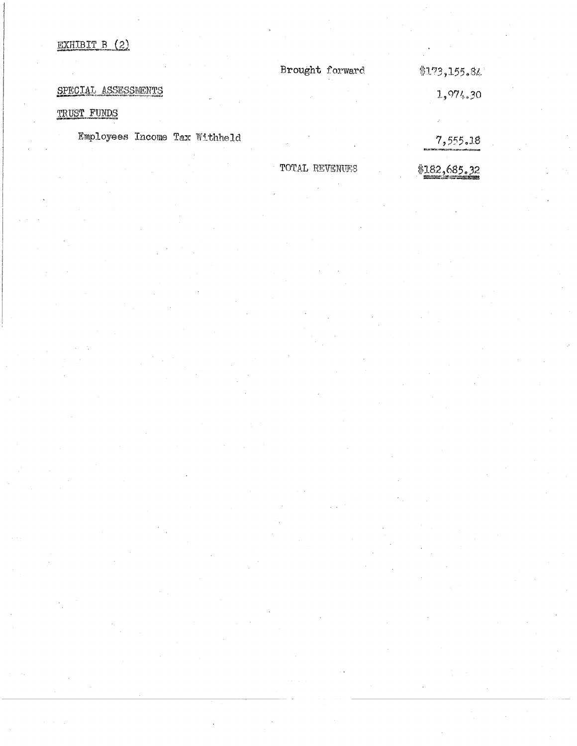# EXHIBIT B (2)

|                               | Brought forward | \$173, 155, 34                                                                                        |
|-------------------------------|-----------------|-------------------------------------------------------------------------------------------------------|
| SPECIAL ASSESSMENTS           |                 | 1,974.30                                                                                              |
| TRUST FUNDS                   |                 |                                                                                                       |
| Employees Income Tax Withheld |                 | 7, 555, 18<br>2015 The World and And State Presidents Inc. And June and Constitution and Constitution |

TOTAL REVENUES

\$182,685.32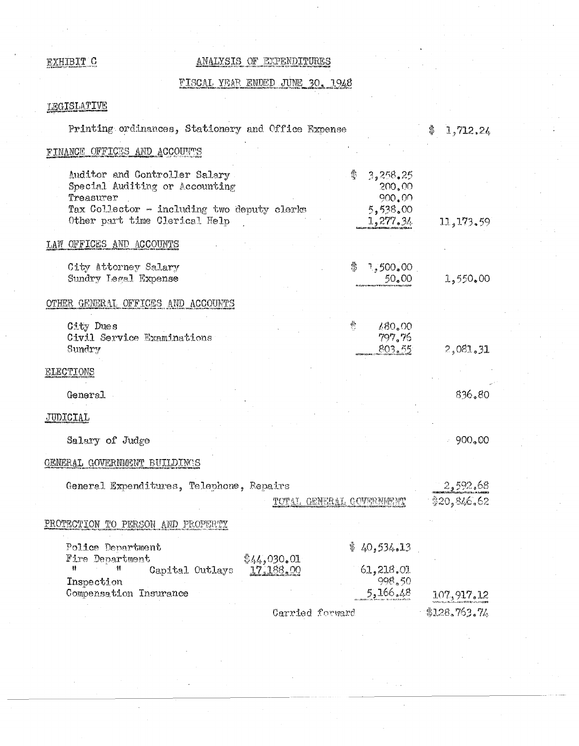# EXHIBIT C

# ANALYSIS OF EXPENDITURES

# FISCAL YEAR ENDED JUNE 30, 1948

## LEGISLATIVE

| Printing ordinances, Stationery and Office Expense                                                                                                           |                          |                                                      | 1,712,24                  |
|--------------------------------------------------------------------------------------------------------------------------------------------------------------|--------------------------|------------------------------------------------------|---------------------------|
| FINANCE OFFICES AND ACCOUNTS                                                                                                                                 |                          |                                                      |                           |
| Auditor and Controller Salary<br>Special Auditing or Accounting<br>Treasurer<br>Tax Collector - including two deputy clerks<br>Other part time Clerical Help |                          | 3,258,25<br>200,00<br>900.00<br>5,538.00<br>1,277,34 | 11, 173, 59               |
| LAW OFFICES AND ACCOUNTS                                                                                                                                     |                          |                                                      |                           |
| City Attorney Salary<br>Sundry Legal Expense                                                                                                                 |                          | 6F<br>1,500,00<br>50.00                              | 1,550,00                  |
| OTHER GENERAL OFFICES AND ACCOUNTS                                                                                                                           |                          |                                                      |                           |
| City Dues<br>Civil Service Examinations<br>Sundry                                                                                                            |                          | ¢<br>480.00<br>797.76<br>803.55                      | 2,081.31                  |
| ELECTIONS                                                                                                                                                    |                          |                                                      |                           |
| General                                                                                                                                                      |                          |                                                      | 836.80                    |
| JUDICIAL                                                                                                                                                     |                          |                                                      |                           |
| Salary of Judge                                                                                                                                              |                          |                                                      | 900,00                    |
| GENERAL GOVERNMENT BUILDINGS                                                                                                                                 |                          |                                                      |                           |
| General Expenditures, Telephone, Repairs                                                                                                                     |                          | TOTAL GENERAL GOVERNMENT                             | - 2,592.68<br>\$20,846.62 |
| PROTECTION TO PERSON AND PROPERTY                                                                                                                            |                          |                                                      |                           |
| Police Department<br>Fire Department<br>11<br>11<br>Capital Outlays<br>Inspection                                                                            | \$44,030.01<br>17,188.00 | \$40,534.13<br>61,218.01<br>998.50                   |                           |
| Compensation Insurance                                                                                                                                       |                          | 5,166.48                                             | 107,917.12                |
|                                                                                                                                                              | Carried forward          |                                                      | \$128.763.74              |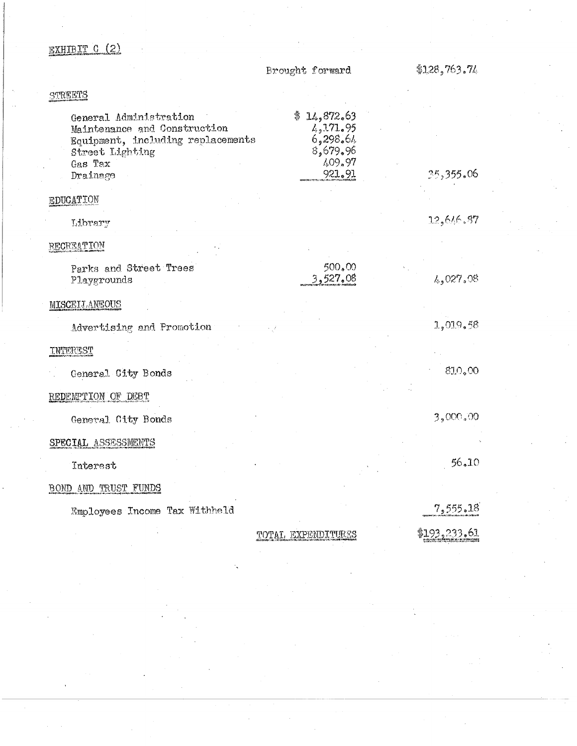# EXHIBIT C (2)

Brought forward

\$1,28,763.74

## **STREETS**

| General Administration<br>Maintenance and Construction<br>Equipment, including replacements<br>Street Lighting<br>Gas Tax<br>Drainage | \$14,872,63<br>4, 171, 95<br>6,298,64<br>8,679.96<br>409.97<br>921.91 | 25,355,06            |
|---------------------------------------------------------------------------------------------------------------------------------------|-----------------------------------------------------------------------|----------------------|
| EDUCATION                                                                                                                             |                                                                       |                      |
| Library                                                                                                                               |                                                                       | 12,646,87            |
| RECREATION                                                                                                                            |                                                                       |                      |
| Parks and Street Trees<br>Playgrounds                                                                                                 | 500.00<br>3,527.08                                                    | 4,027,08             |
| MISCEILANEOUS                                                                                                                         |                                                                       |                      |
| Advertising and Promotion                                                                                                             |                                                                       | 1,019,58             |
| <b>INTEREST</b>                                                                                                                       |                                                                       |                      |
| General City Bonds                                                                                                                    |                                                                       | 810.00               |
| REDEMPTION OF DEBT                                                                                                                    |                                                                       |                      |
| General City Bonds                                                                                                                    |                                                                       | 3,000,00             |
| SPECIAL ASSESSMENTS                                                                                                                   |                                                                       |                      |
| Interest                                                                                                                              |                                                                       | 56.10                |
| BOND AND TRUST FUNDS                                                                                                                  |                                                                       |                      |
| Employees Income Tax Withheld                                                                                                         |                                                                       | 7,555.18             |
|                                                                                                                                       | TOTAL EXPENDITURES                                                    | \$ <u>193,233.61</u> |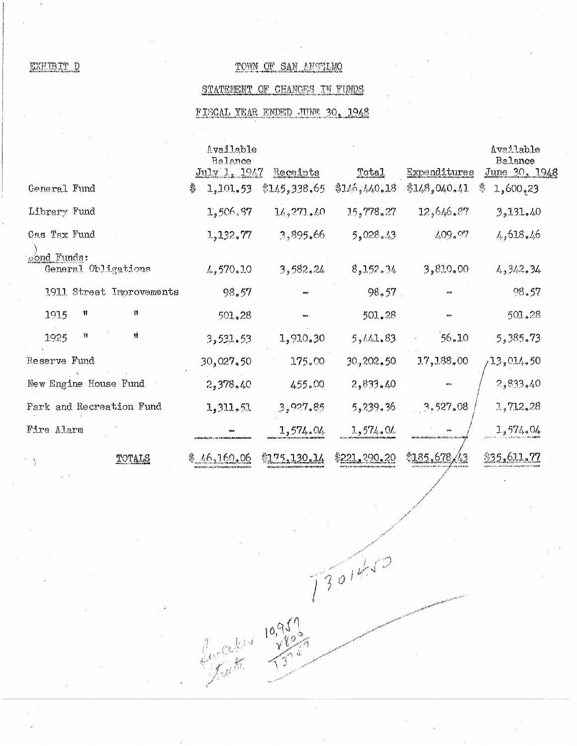EXHIBIT D

### TOWN OF SAN ANSTIMO

### STATEMENT OF CHANCES IN FUNDS

## FISCAL YEAR ENDED JUNE 30, 1948

|                          | Available      |                                                        |               |              | Available      |
|--------------------------|----------------|--------------------------------------------------------|---------------|--------------|----------------|
|                          | Balance        |                                                        |               |              | <b>Balance</b> |
|                          | July 1, 1947   | Receipts                                               | Total         | Expenditures | June 30, 1948  |
| General Fund             | 1,101.53<br>\$ | \$145,338.65                                           | \$1/6, 4/0.18 | \$148,040.41 | 1,600.23<br>\$ |
| Library Fund             | 1,506.87       | 14,271,40                                              | 15,778.27     | 12,616.87    | 3,131,40       |
| Gas Tax Fund             | 1,132,77       | 3,895.66                                               | 5,028,43      | 409.97       | 4,618,46       |
| Dond Funds:              |                |                                                        |               |              |                |
| General Obligations      | 4,570,10       | 3,582.24                                               | 8,152,34      | 3,810.00     | 4,342,34       |
| 1911 Street Improvements | 98.57          |                                                        | 98.57         |              | 98.57          |
| 11<br>射<br>1915          | 501.28         |                                                        | 501.28        |              | 501.28         |
| 11<br>損<br>1925          | 3,531.53       | 1,910.30                                               | 5,44.1,83     | 56.10        | 5,385.73       |
| Reserve Fund             | 30,027,50      | 175.00                                                 | 30,202.50     | 17,188.00    | ,13,014.50     |
| New Engine House Fund    | 2,378.40       | 455.00                                                 | 2,833,40      | mo           | 2,833.40       |
| Park and Recreation Fund | 1,311.51       | 3,927.85                                               | 5, 239, 36    | 3,527.08     | 1,712.28       |
| Fire Alarm               |                | 1,574,04                                               | 1,574,04      |              | 1,574,04       |
| TOTALS                   |                | $$46,160,06$ $$175,130,14$ $$221,290,20$ $$185,678/43$ |               |              | \$35,611,77    |

7301450

Celui 10,959